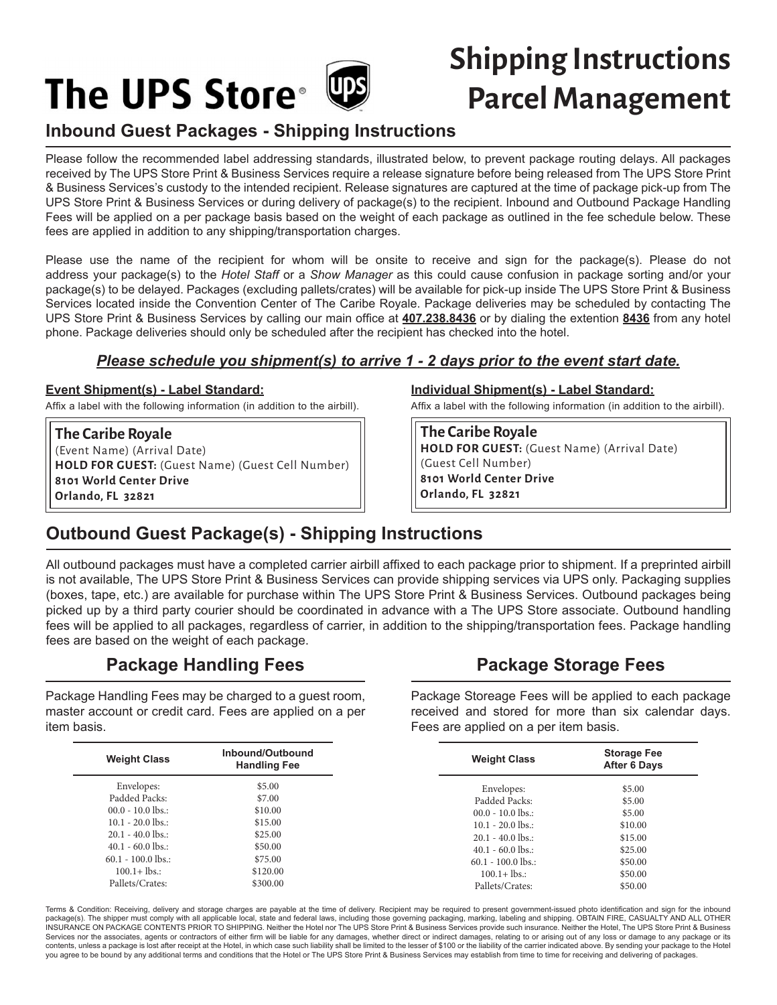# **The UPS Store**<sup>®</sup>

# **Shipping Instructions Parcel Management**

## **Inbound Guest Packages - Shipping Instructions**

Please follow the recommended label addressing standards, illustrated below, to prevent package routing delays. All packages received by The UPS Store Print & Business Services require a release signature before being released from The UPS Store Print & Business Services's custody to the intended recipient. Release signatures are captured at the time of package pick-up from The UPS Store Print & Business Services or during delivery of package(s) to the recipient. Inbound and Outbound Package Handling Fees will be applied on a per package basis based on the weight of each package as outlined in the fee schedule below. These fees are applied in addition to any shipping/transportation charges.

Please use the name of the recipient for whom will be onsite to receive and sign for the package(s). Please do not address your package(s) to the *Hotel Staff* or a *Show Manager* as this could cause confusion in package sorting and/or your package(s) to be delayed. Packages (excluding pallets/crates) will be available for pick-up inside The UPS Store Print & Business Services located inside the Convention Center of The Caribe Royale. Package deliveries may be scheduled by contacting The UPS Store Print & Business Services by calling our main office at **407.238.8436** or by dialing the extention **8436** from any hotel phone. Package deliveries should only be scheduled after the recipient has checked into the hotel.

#### *Please schedule you shipment(s) to arrive 1 - 2 days prior to the event start date.*

#### **Event Shipment(s) - Label Standard:**

Affix a label with the following information (in addition to the airbill).

**The Caribe Royale** (Event Name) (Arrival Date) **HOLD FOR GUEST:** (Guest Name) (Guest Cell Number) **8101 World Center Drive Orlando, FL 32821**

#### **Individual Shipment(s) - Label Standard:**

Affix a label with the following information (in addition to the airbill).

**The Caribe Royale HOLD FOR GUEST:** (Guest Name) (Arrival Date) (Guest Cell Number) **8101 World Center Drive Orlando, FL 32821**

### **Outbound Guest Package(s) - Shipping Instructions**

All outbound packages must have a completed carrier airbill affixed to each package prior to shipment. If a preprinted airbill is not available, The UPS Store Print & Business Services can provide shipping services via UPS only. Packaging supplies (boxes, tape, etc.) are available for purchase within The UPS Store Print & Business Services. Outbound packages being picked up by a third party courier should be coordinated in advance with a The UPS Store associate. Outbound handling fees will be applied to all packages, regardless of carrier, in addition to the shipping/transportation fees. Package handling fees are based on the weight of each package.

#### **Package Handling Fees**

Package Handling Fees may be charged to a guest room, master account or credit card. Fees are applied on a per item basis.

| <b>Weight Class</b>  | Inbound/Outbound<br><b>Handling Fee</b> |
|----------------------|-----------------------------------------|
| Envelopes:           | \$5.00                                  |
| Padded Packs:        | \$7.00                                  |
| $00.0 - 10.0$ lbs.:  | \$10.00                                 |
| $10.1 - 20.0$ lbs.:  | \$15.00                                 |
| $20.1 - 40.0$ lbs.:  | \$25.00                                 |
| $40.1 - 60.0$ lbs.:  | \$50.00                                 |
| $60.1 - 100.0$ lbs.: | \$75.00                                 |
| $100.1 +$ lbs.:      | \$120.00                                |
| Pallets/Crates:      | \$300.00                                |

#### **Package Storage Fees**

Package Storeage Fees will be applied to each package received and stored for more than six calendar days. Fees are applied on a per item basis.

| <b>Weight Class</b>  | <b>Storage Fee</b><br><b>After 6 Days</b> |
|----------------------|-------------------------------------------|
| Envelopes:           | \$5.00                                    |
| Padded Packs:        | \$5.00                                    |
| $00.0 - 10.0$ lbs.:  | \$5.00                                    |
| $10.1 - 20.0$ lbs :  | \$10.00                                   |
| $20.1 - 40.0$ lbs :  | \$15.00                                   |
| $40.1 - 60.0$ lbs.:  | \$25.00                                   |
| $60.1 - 100.0$ lbs.: | \$50.00                                   |
| $100.1 +$ lbs.:      | \$50.00                                   |
| Pallets/Crates:      | \$50.00                                   |

Terms & Condition: Receiving, delivery and storage charges are payable at the time of delivery. Recipient may be required to present government-issued photo identification and sign for the inbound package(s). The shipper must comply with all applicable local, state and federal laws, including those governing packaging, marking, labeling and shipping. OBTAIN FIRE, CASUALTY AND ALL OTHER INSURANCE ON PACKAGE CONTENTS PRIOR TO SHIPPING. Neither the Hotel nor The UPS Store Print & Business Services provide such insurance. Neither the Hotel, The UPS Store Print & Business Services nor the associates, agents or contractors of either firm will be liable for any damages, whether direct or indirect damages, relating to or arising out of any loss or damage to any package or its contents, unless a package is lost after receipt at the Hotel, in which case such liability shall be limited to the lesser of \$100 or the liability of the carrier indicated above. By sending your package to the Hotel you agree to be bound by any additional terms and conditions that the Hotel or The UPS Store Print & Business Services may establish from time to time for receiving and delivering of packages.